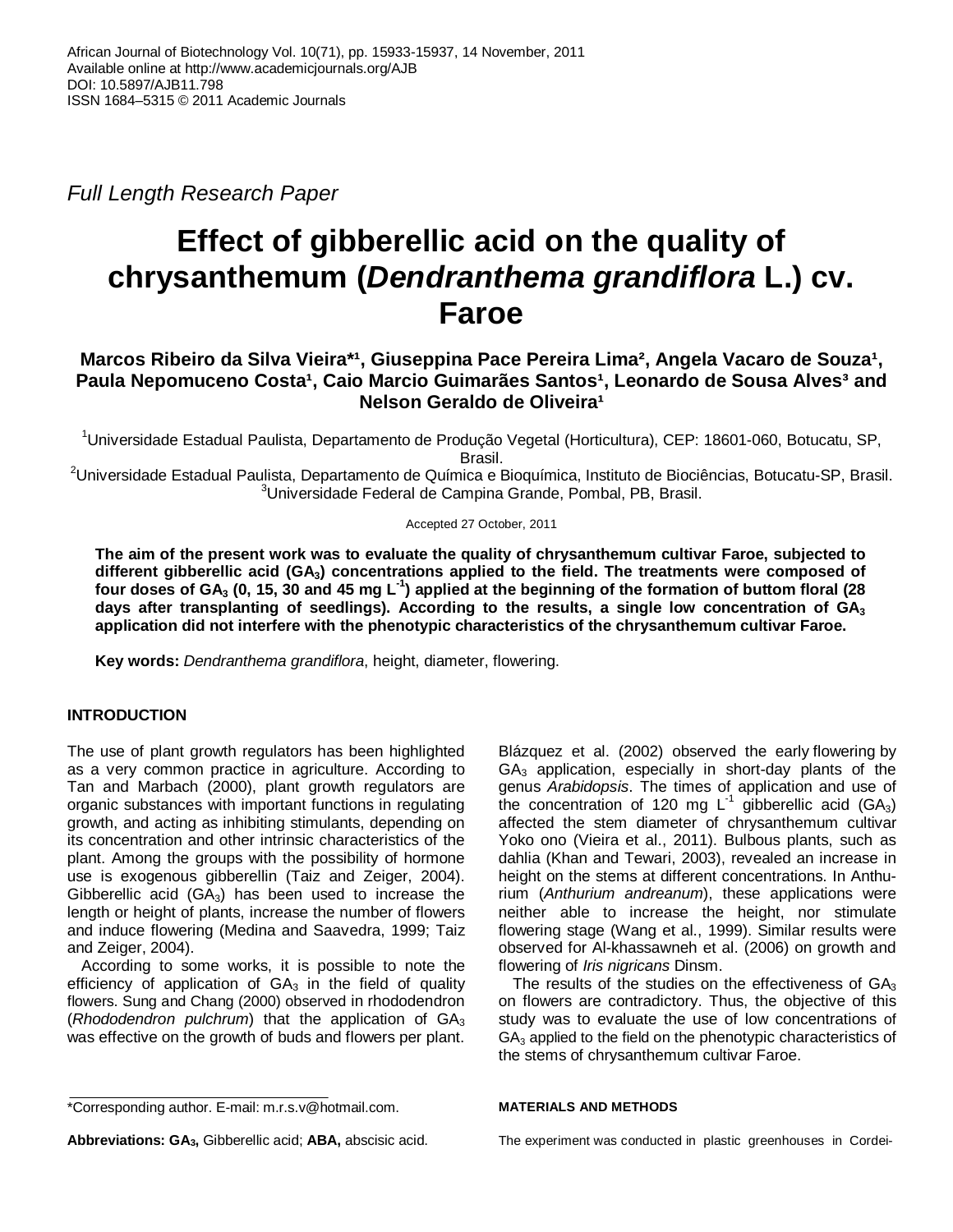Full Length Research Paper

# **Effect of gibberellic acid on the quality of chrysanthemum (Dendranthema grandiflora L.) cv. Faroe**

## Marcos Ribeiro da Silva Vieira<sup>\*1</sup>, Giuseppina Pace Pereira Lima<sup>2</sup>, Angela Vacaro de Souza<sup>1</sup>, Paula Nepomuceno Costa<sup>1</sup>, Caio Marcio Guimarães Santos<sup>1</sup>, Leonardo de Sousa Alves<sup>3</sup> and **Nelson Geraldo de Oliveira<sup>1</sup>**

<sup>1</sup>Universidade Estadual Paulista, Departamento de Produção Vegetal (Horticultura), CEP: 18601-060, Botucatu, SP, Brasil.

<sup>2</sup>Universidade Estadual Paulista, Departamento de Química e Bioquímica, Instituto de Biociências, Botucatu-SP, Brasil. <sup>3</sup>Universidade Federal de Campina Grande, Pombal, PB, Brasil.

#### Accepted 27 October, 2011

**The aim of the present work was to evaluate the quality of chrysanthemum cultivar Faroe, subjected to different gibberellic acid (GA3) concentrations applied to the field. The treatments were composed of four doses of GA3 (0, 15, 30 and 45 mg L-1) applied at the beginning of the formation of buttom floral (28 days after transplanting of seedlings). According to the results, a single low concentration of GA<sup>3</sup> application did not interfere with the phenotypic characteristics of the chrysanthemum cultivar Faroe.** 

**Key words:** Dendranthema grandiflora, height, diameter, flowering.

## **INTRODUCTION**

The use of plant growth regulators has been highlighted as a very common practice in agriculture. According to Tan and Marbach (2000), plant growth regulators are organic substances with important functions in regulating growth, and acting as inhibiting stimulants, depending on its concentration and other intrinsic characteristics of the plant. Among the groups with the possibility of hormone use is exogenous gibberellin (Taiz and Zeiger, 2004). Gibberellic acid  $(GA_3)$  has been used to increase the length or height of plants, increase the number of flowers and induce flowering (Medina and Saavedra, 1999; Taiz and Zeiger, 2004).

According to some works, it is possible to note the efficiency of application of  $GA<sub>3</sub>$  in the field of quality flowers. Sung and Chang (2000) observed in rhododendron (Rhododendron pulchrum) that the application of  $GA<sub>3</sub>$ was effective on the growth of buds and flowers per plant.

Blázquez et al. (2002) observed the early flowering by  $GA<sub>3</sub>$  application, especially in short-day plants of the genus Arabidopsis. The times of application and use of the concentration of 120 mg  $L^{-1}$  gibberellic acid (GA<sub>3</sub>) affected the stem diameter of chrysanthemum cultivar Yoko ono (Vieira et al., 2011). Bulbous plants, such as dahlia (Khan and Tewari, 2003), revealed an increase in height on the stems at different concentrations. In Anthurium (Anthurium andreanum), these applications were neither able to increase the height, nor stimulate flowering stage (Wang et al., 1999). Similar results were observed for Al-khassawneh et al. (2006) on growth and flowering of Iris nigricans Dinsm.

The results of the studies on the effectiveness of  $GA<sub>3</sub>$ on flowers are contradictory. Thus, the objective of this study was to evaluate the use of low concentrations of  $GA<sub>3</sub>$  applied to the field on the phenotypic characteristics of the stems of chrysanthemum cultivar Faroe.

#### **MATERIALS AND METHODS**

The experiment was conducted in plastic greenhouses in Cordei-

<sup>\*</sup>Corresponding author. E-mail: m.r.s.v@hotmail.com.

**Abbreviations: GA3,** Gibberellic acid; **ABA,** abscisic acid.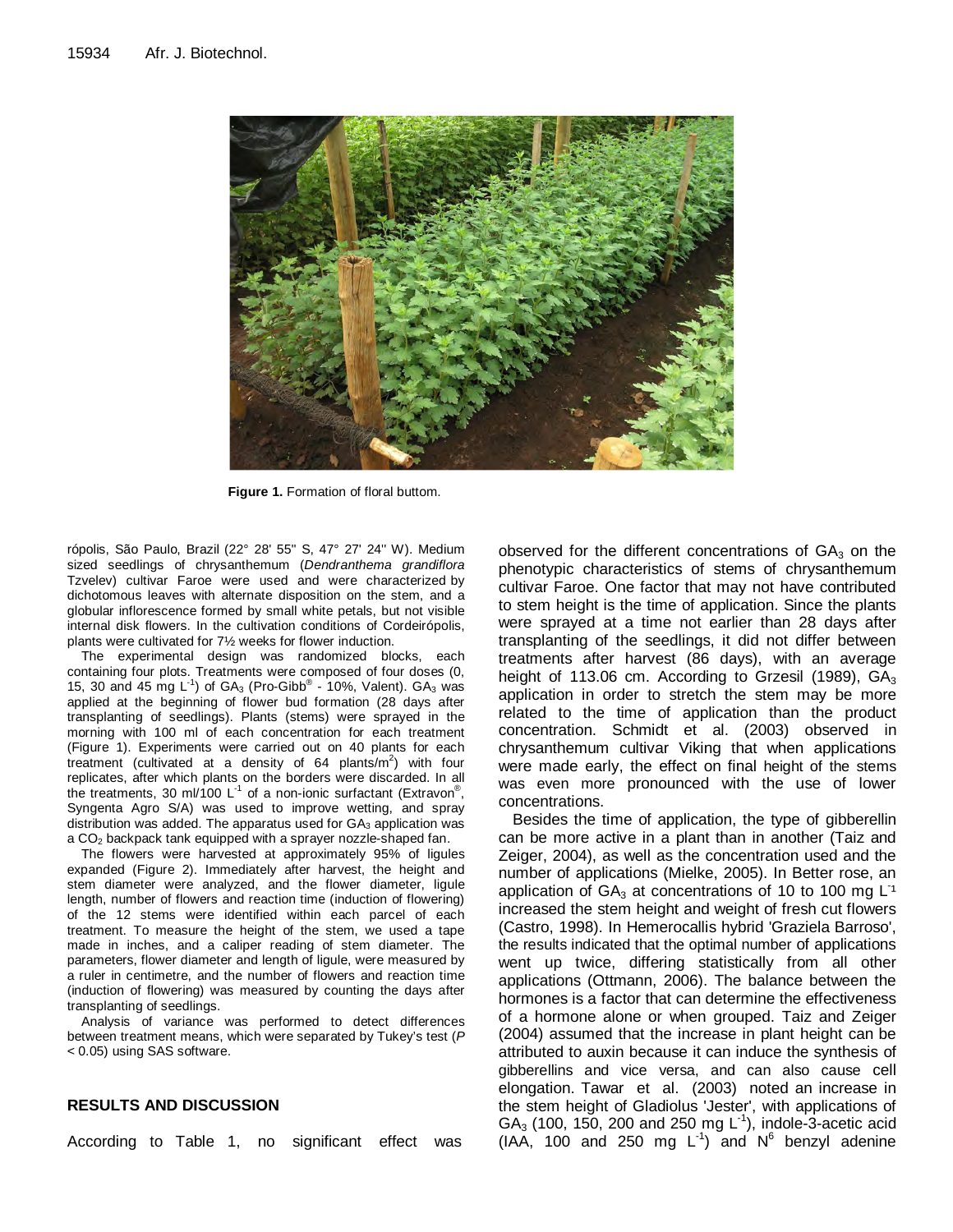

**Figure 1.** Formation of floral buttom.

rópolis, São Paulo, Brazil (22° 28' 55'' S, 47° 27' 24'' W). Medium sized seedlings of chrysanthemum (Dendranthema grandiflora Tzvelev) cultivar Faroe were used and were characterized by dichotomous leaves with alternate disposition on the stem, and a globular inflorescence formed by small white petals, but not visible internal disk flowers. In the cultivation conditions of Cordeirópolis, plants were cultivated for 7½ weeks for flower induction.

The experimental design was randomized blocks, each containing four plots. Treatments were composed of four doses (0, 15, 30 and 45 mg  $L^{-1}$ ) of GA<sub>3</sub> (Pro-Gibb<sup>®</sup> - 10%, Valent). GA<sub>3</sub> was applied at the beginning of flower bud formation (28 days after transplanting of seedlings). Plants (stems) were sprayed in the morning with 100 ml of each concentration for each treatment (Figure 1). Experiments were carried out on 40 plants for each treatment (cultivated at a density of 64 plants/ $m^2$ ) with four replicates, after which plants on the borders were discarded. In all the treatments, 30 ml/100 L<sup>-1</sup> of a non-ionic surfactant (Extravon<sup>®</sup>, Syngenta Agro S/A) was used to improve wetting, and spray distribution was added. The apparatus used for  $GA_3$  application was a CO<sub>2</sub> backpack tank equipped with a sprayer nozzle-shaped fan.

The flowers were harvested at approximately 95% of ligules expanded (Figure 2). Immediately after harvest, the height and stem diameter were analyzed, and the flower diameter, ligule length, number of flowers and reaction time (induction of flowering) of the 12 stems were identified within each parcel of each treatment. To measure the height of the stem, we used a tape made in inches, and a caliper reading of stem diameter. The parameters, flower diameter and length of ligule, were measured by a ruler in centimetre, and the number of flowers and reaction time (induction of flowering) was measured by counting the days after transplanting of seedlings.

Analysis of variance was performed to detect differences between treatment means, which were separated by Tukey's test (P < 0.05) using SAS software.

### **RESULTS AND DISCUSSION**

According to Table 1, no significant effect was

observed for the different concentrations of  $GA<sub>3</sub>$  on the phenotypic characteristics of stems of chrysanthemum cultivar Faroe. One factor that may not have contributed to stem height is the time of application. Since the plants were sprayed at a time not earlier than 28 days after transplanting of the seedlings, it did not differ between treatments after harvest (86 days), with an average height of 113.06 cm. According to Grzesil (1989),  $GA_3$ application in order to stretch the stem may be more related to the time of application than the product concentration. Schmidt et al. (2003) observed in chrysanthemum cultivar Viking that when applications were made early, the effect on final height of the stems was even more pronounced with the use of lower concentrations.

Besides the time of application, the type of gibberellin can be more active in a plant than in another (Taiz and Zeiger, 2004), as well as the concentration used and the number of applications (Mielke, 2005). In Better rose, an application of  $GA_3$  at concentrations of 10 to 100 mg  $L^1$ increased the stem height and weight of fresh cut flowers (Castro, 1998). In Hemerocallis hybrid 'Graziela Barroso', the results indicated that the optimal number of applications went up twice, differing statistically from all other applications (Ottmann, 2006). The balance between the hormones is a factor that can determine the effectiveness of a hormone alone or when grouped. Taiz and Zeiger (2004) assumed that the increase in plant height can be attributed to auxin because it can induce the synthesis of gibberellins and vice versa, and can also cause cell elongation. Tawar et al. (2003) noted an increase in the stem height of Gladiolus 'Jester', with applications of  $GA<sub>3</sub>$  (100, 150, 200 and 250 mg  $L<sup>-1</sup>$ ), indole-3-acetic acid  $(IAA, 100$  and 250 mg L<sup>1</sup>) and  $N^6$  benzyl adenine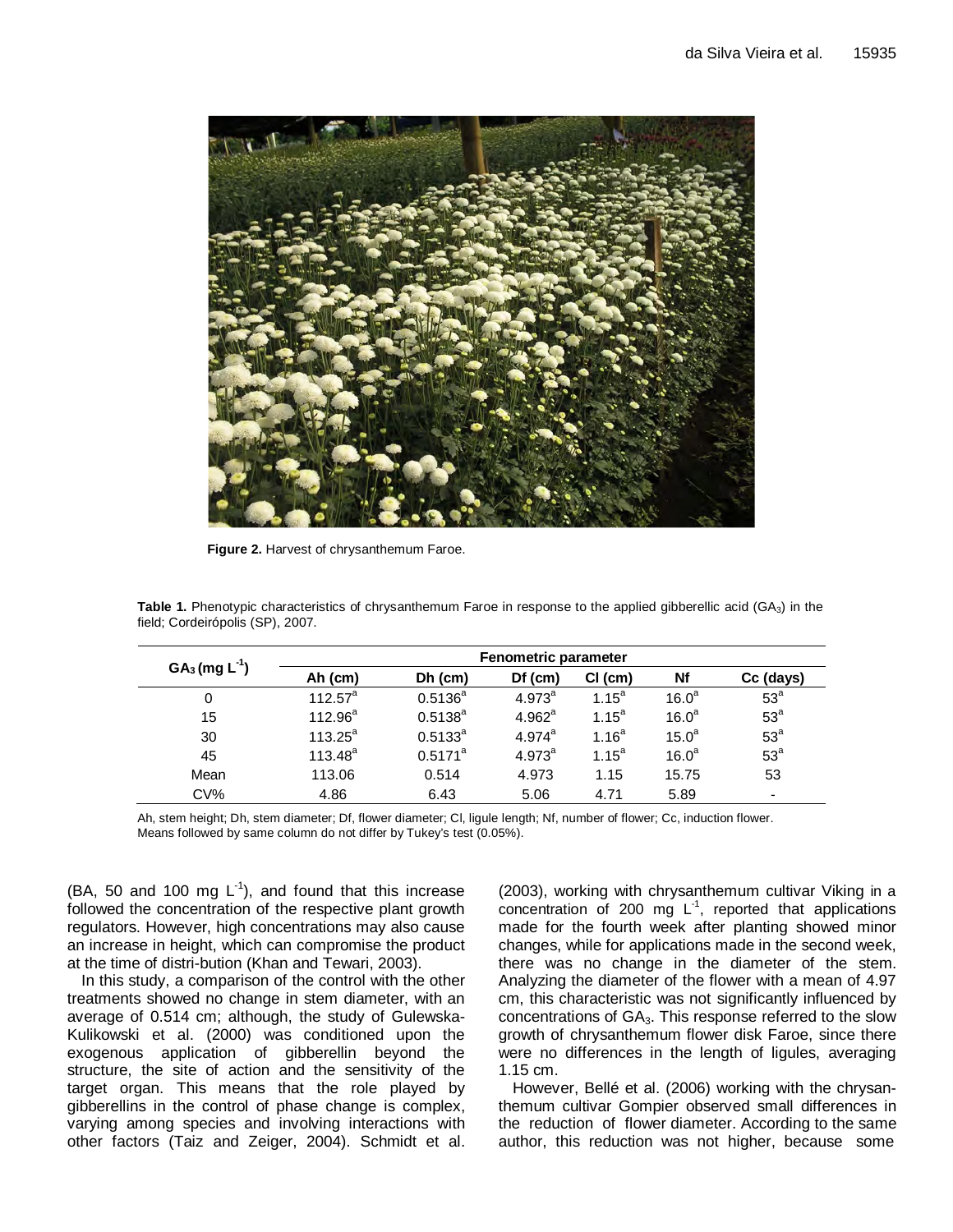

**Figure 2.** Harvest of chrysanthemum Faroe.

| $GA_3$ (mg $L^{-1}$ ) | <b>Fenometric parameter</b> |              |                      |                   |                   |                          |
|-----------------------|-----------------------------|--------------|----------------------|-------------------|-------------------|--------------------------|
|                       | Ah (cm)                     | $Dh$ (cm)    | $Df$ (cm)            | $Cl$ (cm)         | Nf                | Cc (days)                |
| 0                     | $112.57^{\text{a}}$         | $0.5136^{a}$ | $4.973^{a}$          | $1.15^a$          | 16.0 <sup>a</sup> | 53 <sup>a</sup>          |
| 15                    | $112.96^a$                  | $0.5138^{a}$ | 4.962 <sup>a</sup>   | $1.15^a$          | 16.0 <sup>a</sup> | 53 <sup>a</sup>          |
| 30                    | $113.25^{\circ}$            | $0.5133^{a}$ | $4.974$ <sup>a</sup> | 1.16 <sup>a</sup> | 15.0 <sup>a</sup> | 53 <sup>a</sup>          |
| 45                    | $113.48^{a}$                | $0.5171^a$   | $4.973^{a}$          | $1.15^a$          | 16.0 <sup>a</sup> | 53 <sup>a</sup>          |
| Mean                  | 113.06                      | 0.514        | 4.973                | 1.15              | 15.75             | 53                       |
| $CV\%$                | 4.86                        | 6.43         | 5.06                 | 4.71              | 5.89              | $\overline{\phantom{0}}$ |

**Table 1.** Phenotypic characteristics of chrysanthemum Faroe in response to the applied gibberellic acid (GA3) in the field; Cordeirópolis (SP), 2007.

Ah, stem height; Dh, stem diameter; Df, flower diameter; Cl, ligule length; Nf, number of flower; Cc, induction flower. Means followed by same column do not differ by Tukey's test (0.05%).

(BA, 50 and 100 mg  $L^{-1}$ ), and found that this increase followed the concentration of the respective plant growth regulators. However, high concentrations may also cause an increase in height, which can compromise the product at the time of distri-bution (Khan and Tewari, 2003).

In this study, a comparison of the control with the other treatments showed no change in stem diameter, with an average of 0.514 cm; although, the study of Gulewska-Kulikowski et al. (2000) was conditioned upon the exogenous application of gibberellin beyond the structure, the site of action and the sensitivity of the target organ. This means that the role played by gibberellins in the control of phase change is complex, varying among species and involving interactions with other factors (Taiz and Zeiger, 2004). Schmidt et al.

(2003), working with chrysanthemum cultivar Viking in a concentration of 200 mg  $L^{-1}$ , reported that applications made for the fourth week after planting showed minor changes, while for applications made in the second week, there was no change in the diameter of the stem. Analyzing the diameter of the flower with a mean of 4.97 cm, this characteristic was not significantly influenced by concentrations of GA<sub>3</sub>. This response referred to the slow growth of chrysanthemum flower disk Faroe, since there were no differences in the length of ligules, averaging 1.15 cm.

However, Bellé et al. (2006) working with the chrysanthemum cultivar Gompier observed small differences in the reduction of flower diameter. According to the same author, this reduction was not higher, because some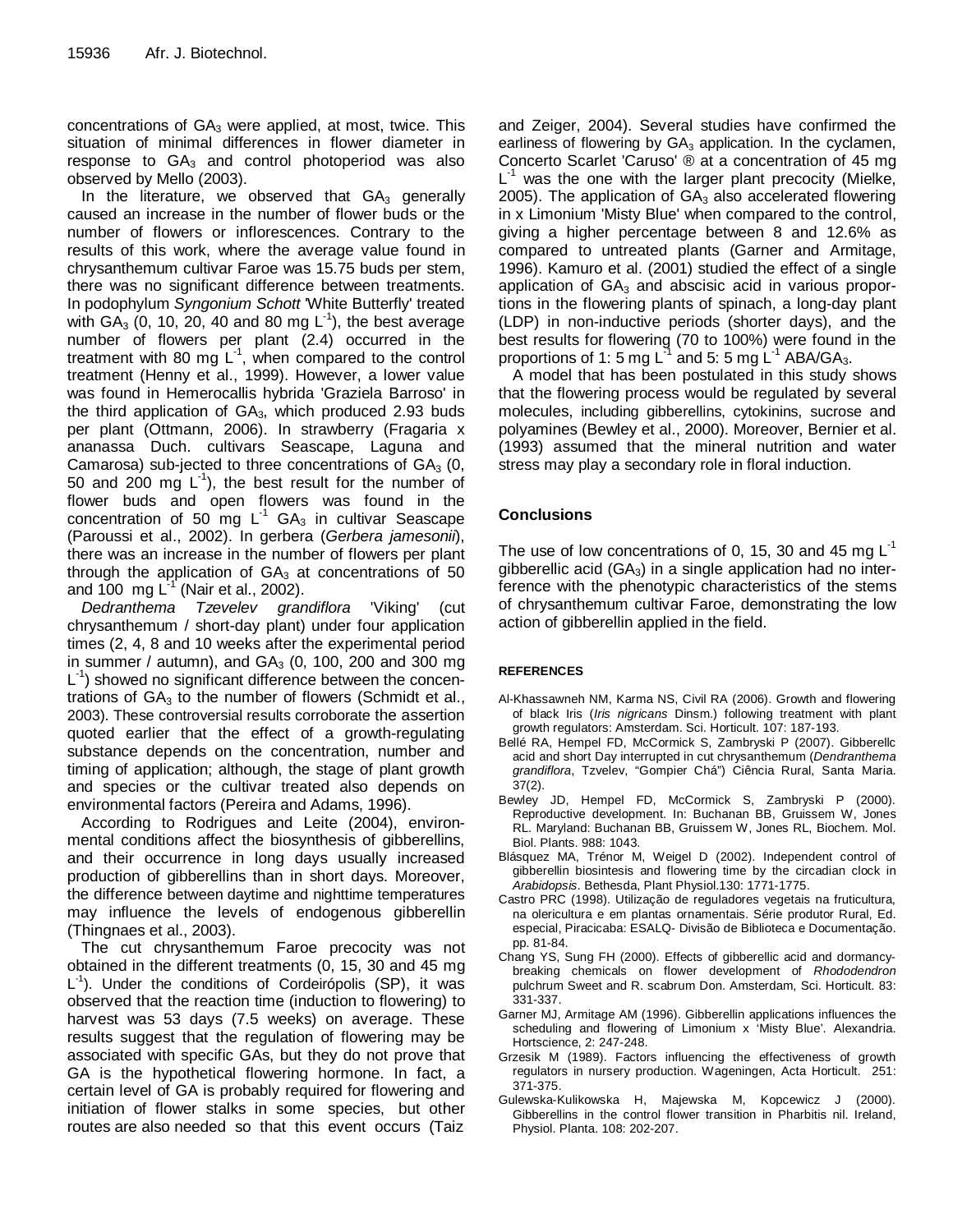concentrations of  $GA_3$  were applied, at most, twice. This situation of minimal differences in flower diameter in response to  $GA_3$  and control photoperiod was also observed by Mello (2003).

In the literature, we observed that  $GA<sub>3</sub>$  generally caused an increase in the number of flower buds or the number of flowers or inflorescences. Contrary to the results of this work, where the average value found in chrysanthemum cultivar Faroe was 15.75 buds per stem, there was no significant difference between treatments. In podophylum Syngonium Schott 'White Butterfly' treated with  $GA_3$  (0, 10, 20, 40 and 80 mg  $L^{-1}$ ), the best average number of flowers per plant (2.4) occurred in the treatment with 80 mg  $L^{-1}$ , when compared to the control treatment (Henny et al., 1999). However, a lower value was found in Hemerocallis hybrida 'Graziela Barroso' in the third application of  $GA<sub>3</sub>$ , which produced 2.93 buds per plant (Ottmann, 2006). In strawberry (Fragaria x ananassa Duch. cultivars Seascape, Laguna and Camarosa) sub-jected to three concentrations of  $GA<sub>3</sub>$  (0, 50 and 200 mg  $L^{-1}$ ), the best result for the number of flower buds and open flowers was found in the concentration of 50 mg  $L^{-1}$  GA<sub>3</sub> in cultivar Seascape (Paroussi et al., 2002). In gerbera (Gerbera jamesonii), there was an increase in the number of flowers per plant through the application of  $GA<sub>3</sub>$  at concentrations of 50 and 100 mg  $L^{-1}$  (Nair et al., 2002).

Dedranthema Tzevelev grandiflora 'Viking' (cut chrysanthemum / short-day plant) under four application times (2, 4, 8 and 10 weeks after the experimental period in summer / autumn), and  $GA<sub>3</sub>$  (0, 100, 200 and 300 mg L<sup>-1</sup>) showed no significant difference between the concentrations of  $GA_3$  to the number of flowers (Schmidt et al., 2003). These controversial results corroborate the assertion quoted earlier that the effect of a growth-regulating substance depends on the concentration, number and timing of application; although, the stage of plant growth and species or the cultivar treated also depends on environmental factors (Pereira and Adams, 1996).

According to Rodrigues and Leite (2004), environmental conditions affect the biosynthesis of gibberellins, and their occurrence in long days usually increased production of gibberellins than in short days. Moreover, the difference between daytime and nighttime temperatures may influence the levels of endogenous gibberellin (Thingnaes et al., 2003).

The cut chrysanthemum Faroe precocity was not obtained in the different treatments (0, 15, 30 and 45 mg L<sup>-1</sup>). Under the conditions of Cordeirópolis (SP), it was observed that the reaction time (induction to flowering) to harvest was 53 days (7.5 weeks) on average. These results suggest that the regulation of flowering may be associated with specific GAs, but they do not prove that GA is the hypothetical flowering hormone. In fact, a certain level of GA is probably required for flowering and initiation of flower stalks in some species, but other routes are also needed so that this event occurs (Taiz

and Zeiger, 2004). Several studies have confirmed the earliness of flowering by  $GA_3$  application. In the cyclamen, Concerto Scarlet 'Caruso' ® at a concentration of 45 mg  $L^{-1}$  was the one with the larger plant precocity (Mielke, 2005). The application of  $GA<sub>3</sub>$  also accelerated flowering in x Limonium 'Misty Blue' when compared to the control, giving a higher percentage between 8 and 12.6% as compared to untreated plants (Garner and Armitage, 1996). Kamuro et al. (2001) studied the effect of a single application of  $GA_3$  and abscisic acid in various proportions in the flowering plants of spinach, a long-day plant (LDP) in non-inductive periods (shorter days), and the best results for flowering (70 to 100%) were found in the proportions of 1: 5 mg  $L^{-1}$  and 5: 5 mg  $L^{-1}$  ABA/GA<sub>3</sub>.

A model that has been postulated in this study shows that the flowering process would be regulated by several molecules, including gibberellins, cytokinins, sucrose and polyamines (Bewley et al., 2000). Moreover, Bernier et al. (1993) assumed that the mineral nutrition and water stress may play a secondary role in floral induction.

## **Conclusions**

The use of low concentrations of 0, 15, 30 and 45 mg  $L^{-1}$ gibberellic acid  $(GA_3)$  in a single application had no interference with the phenotypic characteristics of the stems of chrysanthemum cultivar Faroe, demonstrating the low action of gibberellin applied in the field.

#### **REFERENCES**

- Al-Khassawneh NM, Karma NS, Civil RA (2006). Growth and flowering of black Iris (Iris nigricans Dinsm.) following treatment with plant growth regulators: Amsterdam. Sci. Horticult. 107: 187-193.
- Bellé RA, Hempel FD, McCormick S, Zambryski P (2007). Gibberellc acid and short Day interrupted in cut chrysanthemum (Dendranthema grandiflora, Tzvelev, "Gompier Chá") Ciência Rural, Santa Maria. 37(2).
- Bewley JD, Hempel FD, McCormick S, Zambryski P (2000). Reproductive development. In: Buchanan BB, Gruissem W, Jones RL. Maryland: Buchanan BB, Gruissem W, Jones RL, Biochem. Mol. Biol. Plants. 988: 1043.
- Blásquez MA, Trénor M, Weigel D (2002). Independent control of gibberellin biosintesis and flowering time by the circadian clock in Arabidopsis. Bethesda, Plant Physiol.130: 1771-1775.
- Castro PRC (1998). Utilização de reguladores vegetais na fruticultura, na olericultura e em plantas ornamentais. Série produtor Rural, Ed. especial, Piracicaba: ESALQ- Divisão de Biblioteca e Documentação. pp. 81-84.
- Chang YS, Sung FH (2000). Effects of gibberellic acid and dormancybreaking chemicals on flower development of Rhododendron pulchrum Sweet and R. scabrum Don. Amsterdam, Sci. Horticult. 83: 331-337.
- Garner MJ, Armitage AM (1996). Gibberellin applications influences the scheduling and flowering of Limonium x 'Misty Blue'. Alexandria. Hortscience, 2: 247-248.
- Grzesik M (1989). Factors influencing the effectiveness of growth regulators in nursery production. Wageningen, Acta Horticult. 251: 371-375.
- Gulewska-Kulikowska H, Majewska M, Kopcewicz J (2000). Gibberellins in the control flower transition in Pharbitis nil. Ireland, Physiol. Planta. 108: 202-207.